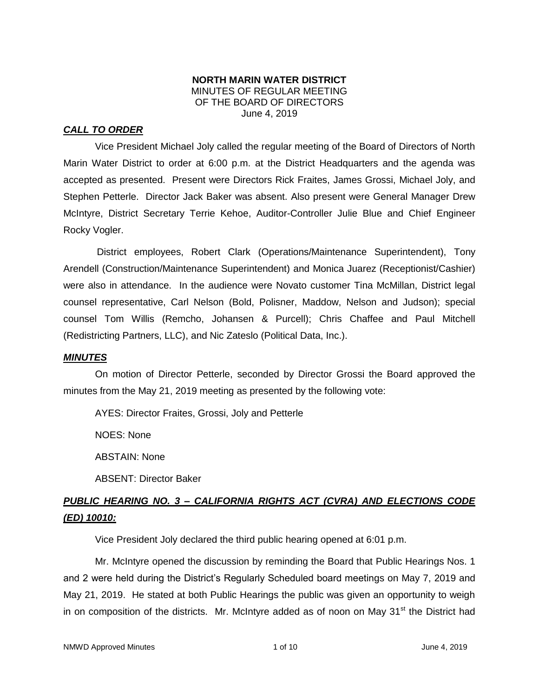### **NORTH MARIN WATER DISTRICT** MINUTES OF REGULAR MEETING OF THE BOARD OF DIRECTORS June 4, 2019

# *CALL TO ORDER*

Vice President Michael Joly called the regular meeting of the Board of Directors of North Marin Water District to order at 6:00 p.m. at the District Headquarters and the agenda was accepted as presented. Present were Directors Rick Fraites, James Grossi, Michael Joly, and Stephen Petterle. Director Jack Baker was absent. Also present were General Manager Drew McIntyre, District Secretary Terrie Kehoe, Auditor-Controller Julie Blue and Chief Engineer Rocky Vogler.

District employees, Robert Clark (Operations/Maintenance Superintendent), Tony Arendell (Construction/Maintenance Superintendent) and Monica Juarez (Receptionist/Cashier) were also in attendance. In the audience were Novato customer Tina McMillan, District legal counsel representative, Carl Nelson (Bold, Polisner, Maddow, Nelson and Judson); special counsel Tom Willis (Remcho, Johansen & Purcell); Chris Chaffee and Paul Mitchell (Redistricting Partners, LLC), and Nic Zateslo (Political Data, Inc.).

#### *MINUTES*

On motion of Director Petterle, seconded by Director Grossi the Board approved the minutes from the May 21, 2019 meeting as presented by the following vote:

AYES: Director Fraites, Grossi, Joly and Petterle

NOES: None

ABSTAIN: None

ABSENT: Director Baker

# *PUBLIC HEARING NO. 3 – CALIFORNIA RIGHTS ACT (CVRA) AND ELECTIONS CODE (ED) 10010:*

Vice President Joly declared the third public hearing opened at 6:01 p.m.

Mr. McIntyre opened the discussion by reminding the Board that Public Hearings Nos. 1 and 2 were held during the District's Regularly Scheduled board meetings on May 7, 2019 and May 21, 2019. He stated at both Public Hearings the public was given an opportunity to weigh in on composition of the districts. Mr. McIntyre added as of noon on May  $31<sup>st</sup>$  the District had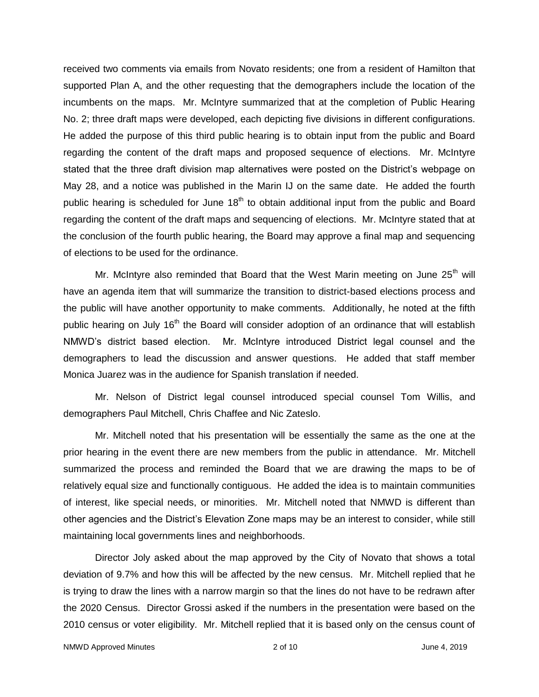received two comments via emails from Novato residents; one from a resident of Hamilton that supported Plan A, and the other requesting that the demographers include the location of the incumbents on the maps. Mr. McIntyre summarized that at the completion of Public Hearing No. 2; three draft maps were developed, each depicting five divisions in different configurations. He added the purpose of this third public hearing is to obtain input from the public and Board regarding the content of the draft maps and proposed sequence of elections. Mr. McIntyre stated that the three draft division map alternatives were posted on the District's webpage on May 28, and a notice was published in the Marin IJ on the same date. He added the fourth public hearing is scheduled for June  $18<sup>th</sup>$  to obtain additional input from the public and Board regarding the content of the draft maps and sequencing of elections. Mr. McIntyre stated that at the conclusion of the fourth public hearing, the Board may approve a final map and sequencing of elections to be used for the ordinance.

Mr. McIntyre also reminded that Board that the West Marin meeting on June  $25<sup>th</sup>$  will have an agenda item that will summarize the transition to district-based elections process and the public will have another opportunity to make comments. Additionally, he noted at the fifth public hearing on July 16<sup>th</sup> the Board will consider adoption of an ordinance that will establish NMWD's district based election. Mr. McIntyre introduced District legal counsel and the demographers to lead the discussion and answer questions. He added that staff member Monica Juarez was in the audience for Spanish translation if needed.

Mr. Nelson of District legal counsel introduced special counsel Tom Willis, and demographers Paul Mitchell, Chris Chaffee and Nic Zateslo.

Mr. Mitchell noted that his presentation will be essentially the same as the one at the prior hearing in the event there are new members from the public in attendance. Mr. Mitchell summarized the process and reminded the Board that we are drawing the maps to be of relatively equal size and functionally contiguous. He added the idea is to maintain communities of interest, like special needs, or minorities. Mr. Mitchell noted that NMWD is different than other agencies and the District's Elevation Zone maps may be an interest to consider, while still maintaining local governments lines and neighborhoods.

Director Joly asked about the map approved by the City of Novato that shows a total deviation of 9.7% and how this will be affected by the new census. Mr. Mitchell replied that he is trying to draw the lines with a narrow margin so that the lines do not have to be redrawn after the 2020 Census. Director Grossi asked if the numbers in the presentation were based on the 2010 census or voter eligibility. Mr. Mitchell replied that it is based only on the census count of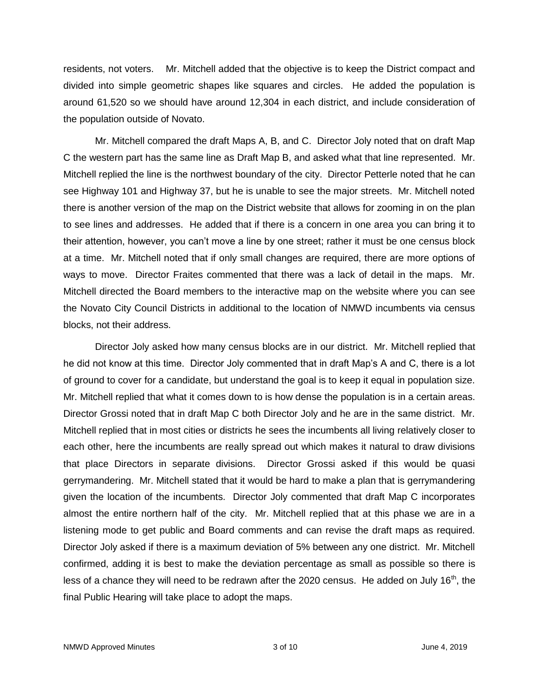residents, not voters. Mr. Mitchell added that the objective is to keep the District compact and divided into simple geometric shapes like squares and circles. He added the population is around 61,520 so we should have around 12,304 in each district, and include consideration of the population outside of Novato.

Mr. Mitchell compared the draft Maps A, B, and C. Director Joly noted that on draft Map C the western part has the same line as Draft Map B, and asked what that line represented. Mr. Mitchell replied the line is the northwest boundary of the city. Director Petterle noted that he can see Highway 101 and Highway 37, but he is unable to see the major streets. Mr. Mitchell noted there is another version of the map on the District website that allows for zooming in on the plan to see lines and addresses. He added that if there is a concern in one area you can bring it to their attention, however, you can't move a line by one street; rather it must be one census block at a time. Mr. Mitchell noted that if only small changes are required, there are more options of ways to move. Director Fraites commented that there was a lack of detail in the maps. Mr. Mitchell directed the Board members to the interactive map on the website where you can see the Novato City Council Districts in additional to the location of NMWD incumbents via census blocks, not their address.

Director Joly asked how many census blocks are in our district. Mr. Mitchell replied that he did not know at this time. Director Joly commented that in draft Map's A and C, there is a lot of ground to cover for a candidate, but understand the goal is to keep it equal in population size. Mr. Mitchell replied that what it comes down to is how dense the population is in a certain areas. Director Grossi noted that in draft Map C both Director Joly and he are in the same district. Mr. Mitchell replied that in most cities or districts he sees the incumbents all living relatively closer to each other, here the incumbents are really spread out which makes it natural to draw divisions that place Directors in separate divisions. Director Grossi asked if this would be quasi gerrymandering. Mr. Mitchell stated that it would be hard to make a plan that is gerrymandering given the location of the incumbents. Director Joly commented that draft Map C incorporates almost the entire northern half of the city. Mr. Mitchell replied that at this phase we are in a listening mode to get public and Board comments and can revise the draft maps as required. Director Joly asked if there is a maximum deviation of 5% between any one district. Mr. Mitchell confirmed, adding it is best to make the deviation percentage as small as possible so there is less of a chance they will need to be redrawn after the 2020 census. He added on July  $16<sup>th</sup>$ , the final Public Hearing will take place to adopt the maps.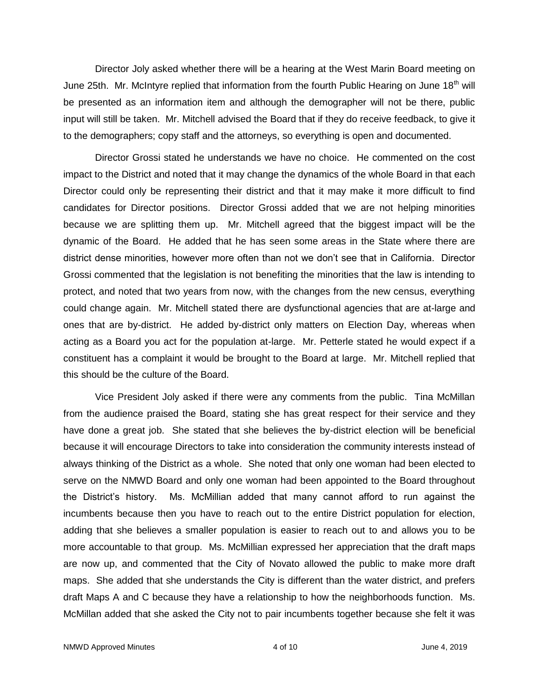Director Joly asked whether there will be a hearing at the West Marin Board meeting on June 25th. Mr. McIntyre replied that information from the fourth Public Hearing on June  $18<sup>th</sup>$  will be presented as an information item and although the demographer will not be there, public input will still be taken. Mr. Mitchell advised the Board that if they do receive feedback, to give it to the demographers; copy staff and the attorneys, so everything is open and documented.

Director Grossi stated he understands we have no choice. He commented on the cost impact to the District and noted that it may change the dynamics of the whole Board in that each Director could only be representing their district and that it may make it more difficult to find candidates for Director positions. Director Grossi added that we are not helping minorities because we are splitting them up. Mr. Mitchell agreed that the biggest impact will be the dynamic of the Board. He added that he has seen some areas in the State where there are district dense minorities, however more often than not we don't see that in California. Director Grossi commented that the legislation is not benefiting the minorities that the law is intending to protect, and noted that two years from now, with the changes from the new census, everything could change again. Mr. Mitchell stated there are dysfunctional agencies that are at-large and ones that are by-district. He added by-district only matters on Election Day, whereas when acting as a Board you act for the population at-large. Mr. Petterle stated he would expect if a constituent has a complaint it would be brought to the Board at large. Mr. Mitchell replied that this should be the culture of the Board.

Vice President Joly asked if there were any comments from the public. Tina McMillan from the audience praised the Board, stating she has great respect for their service and they have done a great job. She stated that she believes the by-district election will be beneficial because it will encourage Directors to take into consideration the community interests instead of always thinking of the District as a whole. She noted that only one woman had been elected to serve on the NMWD Board and only one woman had been appointed to the Board throughout the District's history. Ms. McMillian added that many cannot afford to run against the incumbents because then you have to reach out to the entire District population for election, adding that she believes a smaller population is easier to reach out to and allows you to be more accountable to that group. Ms. McMillian expressed her appreciation that the draft maps are now up, and commented that the City of Novato allowed the public to make more draft maps. She added that she understands the City is different than the water district, and prefers draft Maps A and C because they have a relationship to how the neighborhoods function. Ms. McMillan added that she asked the City not to pair incumbents together because she felt it was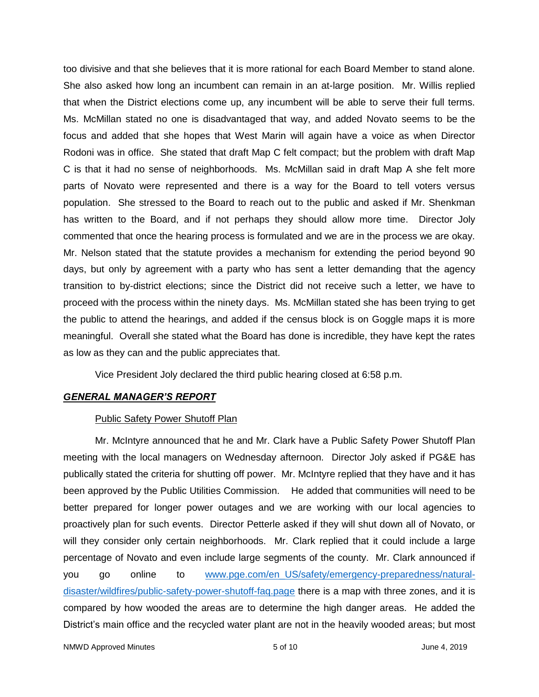too divisive and that she believes that it is more rational for each Board Member to stand alone. She also asked how long an incumbent can remain in an at-large position. Mr. Willis replied that when the District elections come up, any incumbent will be able to serve their full terms. Ms. McMillan stated no one is disadvantaged that way, and added Novato seems to be the focus and added that she hopes that West Marin will again have a voice as when Director Rodoni was in office. She stated that draft Map C felt compact; but the problem with draft Map C is that it had no sense of neighborhoods. Ms. McMillan said in draft Map A she felt more parts of Novato were represented and there is a way for the Board to tell voters versus population. She stressed to the Board to reach out to the public and asked if Mr. Shenkman has written to the Board, and if not perhaps they should allow more time. Director Joly commented that once the hearing process is formulated and we are in the process we are okay. Mr. Nelson stated that the statute provides a mechanism for extending the period beyond 90 days, but only by agreement with a party who has sent a letter demanding that the agency transition to by-district elections; since the District did not receive such a letter, we have to proceed with the process within the ninety days. Ms. McMillan stated she has been trying to get the public to attend the hearings, and added if the census block is on Goggle maps it is more meaningful. Overall she stated what the Board has done is incredible, they have kept the rates as low as they can and the public appreciates that.

Vice President Joly declared the third public hearing closed at 6:58 p.m.

### *GENERAL MANAGER'S REPORT*

### Public Safety Power Shutoff Plan

Mr. McIntyre announced that he and Mr. Clark have a Public Safety Power Shutoff Plan meeting with the local managers on Wednesday afternoon. Director Joly asked if PG&E has publically stated the criteria for shutting off power. Mr. McIntyre replied that they have and it has been approved by the Public Utilities Commission. He added that communities will need to be better prepared for longer power outages and we are working with our local agencies to proactively plan for such events. Director Petterle asked if they will shut down all of Novato, or will they consider only certain neighborhoods. Mr. Clark replied that it could include a large percentage of Novato and even include large segments of the county. Mr. Clark announced if you go online to [www.pge.com/en\\_US/safety/emergency-preparedness/natural](http://www.pge.com/en_US/safety/emergency-preparedness/natural-disaster/wildfires/public-safety-power-shutoff-faq.page)[disaster/wildfires/public-safety-power-shutoff-faq.page](http://www.pge.com/en_US/safety/emergency-preparedness/natural-disaster/wildfires/public-safety-power-shutoff-faq.page) there is a map with three zones, and it is compared by how wooded the areas are to determine the high danger areas. He added the District's main office and the recycled water plant are not in the heavily wooded areas; but most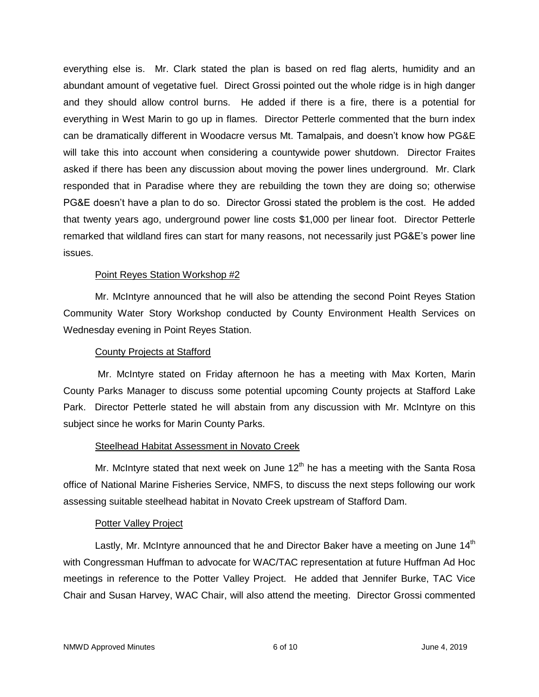everything else is. Mr. Clark stated the plan is based on red flag alerts, humidity and an abundant amount of vegetative fuel. Direct Grossi pointed out the whole ridge is in high danger and they should allow control burns. He added if there is a fire, there is a potential for everything in West Marin to go up in flames. Director Petterle commented that the burn index can be dramatically different in Woodacre versus Mt. Tamalpais, and doesn't know how PG&E will take this into account when considering a countywide power shutdown. Director Fraites asked if there has been any discussion about moving the power lines underground. Mr. Clark responded that in Paradise where they are rebuilding the town they are doing so; otherwise PG&E doesn't have a plan to do so. Director Grossi stated the problem is the cost. He added that twenty years ago, underground power line costs \$1,000 per linear foot. Director Petterle remarked that wildland fires can start for many reasons, not necessarily just PG&E's power line issues.

### Point Reyes Station Workshop #2

Mr. McIntyre announced that he will also be attending the second Point Reyes Station Community Water Story Workshop conducted by County Environment Health Services on Wednesday evening in Point Reyes Station.

### County Projects at Stafford

Mr. McIntyre stated on Friday afternoon he has a meeting with Max Korten, Marin County Parks Manager to discuss some potential upcoming County projects at Stafford Lake Park. Director Petterle stated he will abstain from any discussion with Mr. McIntyre on this subject since he works for Marin County Parks.

### Steelhead Habitat Assessment in Novato Creek

Mr. McIntyre stated that next week on June  $12<sup>th</sup>$  he has a meeting with the Santa Rosa office of National Marine Fisheries Service, NMFS, to discuss the next steps following our work assessing suitable steelhead habitat in Novato Creek upstream of Stafford Dam.

#### Potter Valley Project

Lastly, Mr. McIntyre announced that he and Director Baker have a meeting on June  $14<sup>th</sup>$ with Congressman Huffman to advocate for WAC/TAC representation at future Huffman Ad Hoc meetings in reference to the Potter Valley Project. He added that Jennifer Burke, TAC Vice Chair and Susan Harvey, WAC Chair, will also attend the meeting. Director Grossi commented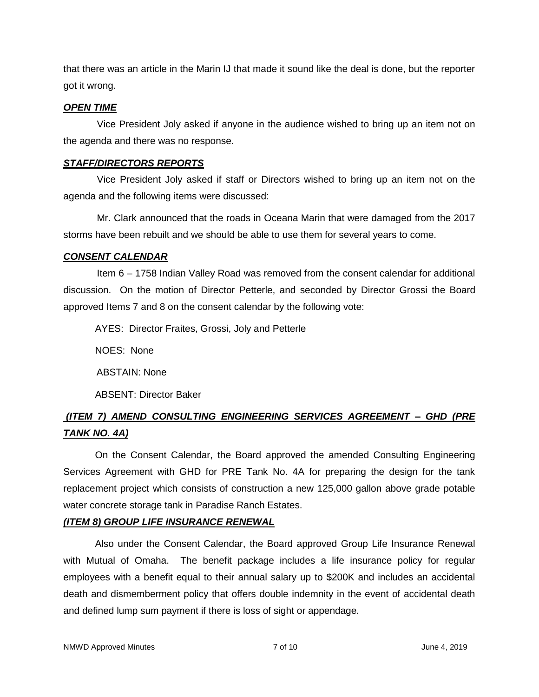that there was an article in the Marin IJ that made it sound like the deal is done, but the reporter got it wrong.

### *OPEN TIME*

Vice President Joly asked if anyone in the audience wished to bring up an item not on the agenda and there was no response.

## *STAFF/DIRECTORS REPORTS*

Vice President Joly asked if staff or Directors wished to bring up an item not on the agenda and the following items were discussed:

Mr. Clark announced that the roads in Oceana Marin that were damaged from the 2017 storms have been rebuilt and we should be able to use them for several years to come.

### *CONSENT CALENDAR*

Item 6 – 1758 Indian Valley Road was removed from the consent calendar for additional discussion. On the motion of Director Petterle, and seconded by Director Grossi the Board approved Items 7 and 8 on the consent calendar by the following vote:

AYES: Director Fraites, Grossi, Joly and Petterle

NOES: None

ABSTAIN: None

ABSENT: Director Baker

# *(ITEM 7) AMEND CONSULTING ENGINEERING SERVICES AGREEMENT – GHD (PRE TANK NO. 4A)*

On the Consent Calendar, the Board approved the amended Consulting Engineering Services Agreement with GHD for PRE Tank No. 4A for preparing the design for the tank replacement project which consists of construction a new 125,000 gallon above grade potable water concrete storage tank in Paradise Ranch Estates.

# *(ITEM 8) GROUP LIFE INSURANCE RENEWAL*

Also under the Consent Calendar, the Board approved Group Life Insurance Renewal with Mutual of Omaha. The benefit package includes a life insurance policy for regular employees with a benefit equal to their annual salary up to \$200K and includes an accidental death and dismemberment policy that offers double indemnity in the event of accidental death and defined lump sum payment if there is loss of sight or appendage.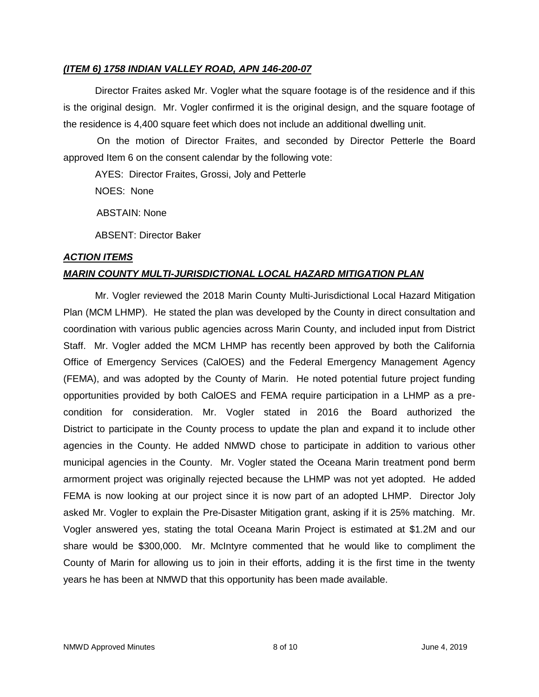### *(ITEM 6) 1758 INDIAN VALLEY ROAD, APN 146-200-07*

Director Fraites asked Mr. Vogler what the square footage is of the residence and if this is the original design. Mr. Vogler confirmed it is the original design, and the square footage of the residence is 4,400 square feet which does not include an additional dwelling unit.

On the motion of Director Fraites, and seconded by Director Petterle the Board approved Item 6 on the consent calendar by the following vote:

AYES: Director Fraites, Grossi, Joly and Petterle

NOES: None

ABSTAIN: None

ABSENT: Director Baker

### *ACTION ITEMS*

## *MARIN COUNTY MULTI-JURISDICTIONAL LOCAL HAZARD MITIGATION PLAN*

Mr. Vogler reviewed the 2018 Marin County Multi-Jurisdictional Local Hazard Mitigation Plan (MCM LHMP). He stated the plan was developed by the County in direct consultation and coordination with various public agencies across Marin County, and included input from District Staff. Mr. Vogler added the MCM LHMP has recently been approved by both the California Office of Emergency Services (CalOES) and the Federal Emergency Management Agency (FEMA), and was adopted by the County of Marin. He noted potential future project funding opportunities provided by both CalOES and FEMA require participation in a LHMP as a precondition for consideration. Mr. Vogler stated in 2016 the Board authorized the District to participate in the County process to update the plan and expand it to include other agencies in the County. He added NMWD chose to participate in addition to various other municipal agencies in the County. Mr. Vogler stated the Oceana Marin treatment pond berm armorment project was originally rejected because the LHMP was not yet adopted. He added FEMA is now looking at our project since it is now part of an adopted LHMP. Director Joly asked Mr. Vogler to explain the Pre-Disaster Mitigation grant, asking if it is 25% matching. Mr. Vogler answered yes, stating the total Oceana Marin Project is estimated at \$1.2M and our share would be \$300,000. Mr. McIntyre commented that he would like to compliment the County of Marin for allowing us to join in their efforts, adding it is the first time in the twenty years he has been at NMWD that this opportunity has been made available.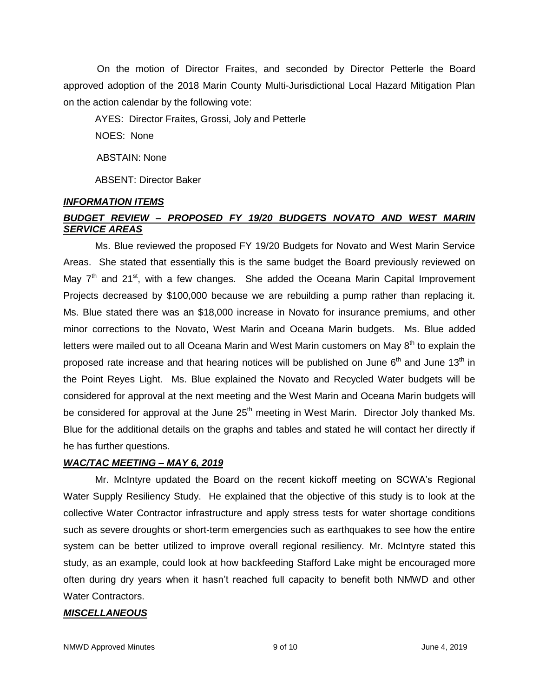On the motion of Director Fraites, and seconded by Director Petterle the Board approved adoption of the 2018 Marin County Multi-Jurisdictional Local Hazard Mitigation Plan on the action calendar by the following vote:

AYES: Director Fraites, Grossi, Joly and Petterle

NOES: None

ABSTAIN: None

ABSENT: Director Baker

### *INFORMATION ITEMS*

# *BUDGET REVIEW – PROPOSED FY 19/20 BUDGETS NOVATO AND WEST MARIN SERVICE AREAS*

Ms. Blue reviewed the proposed FY 19/20 Budgets for Novato and West Marin Service Areas. She stated that essentially this is the same budget the Board previously reviewed on May  $7<sup>th</sup>$  and 21<sup>st</sup>, with a few changes. She added the Oceana Marin Capital Improvement Projects decreased by \$100,000 because we are rebuilding a pump rather than replacing it. Ms. Blue stated there was an \$18,000 increase in Novato for insurance premiums, and other minor corrections to the Novato, West Marin and Oceana Marin budgets. Ms. Blue added letters were mailed out to all Oceana Marin and West Marin customers on May 8<sup>th</sup> to explain the proposed rate increase and that hearing notices will be published on June 6<sup>th</sup> and June 13<sup>th</sup> in the Point Reyes Light. Ms. Blue explained the Novato and Recycled Water budgets will be considered for approval at the next meeting and the West Marin and Oceana Marin budgets will be considered for approval at the June  $25<sup>th</sup>$  meeting in West Marin. Director Joly thanked Ms. Blue for the additional details on the graphs and tables and stated he will contact her directly if he has further questions.

### *WAC/TAC MEETING – MAY 6, 2019*

Mr. McIntyre updated the Board on the recent kickoff meeting on SCWA's Regional Water Supply Resiliency Study. He explained that the objective of this study is to look at the collective Water Contractor infrastructure and apply stress tests for water shortage conditions such as severe droughts or short-term emergencies such as earthquakes to see how the entire system can be better utilized to improve overall regional resiliency. Mr. McIntyre stated this study, as an example, could look at how backfeeding Stafford Lake might be encouraged more often during dry years when it hasn't reached full capacity to benefit both NMWD and other Water Contractors.

### *MISCELLANEOUS*